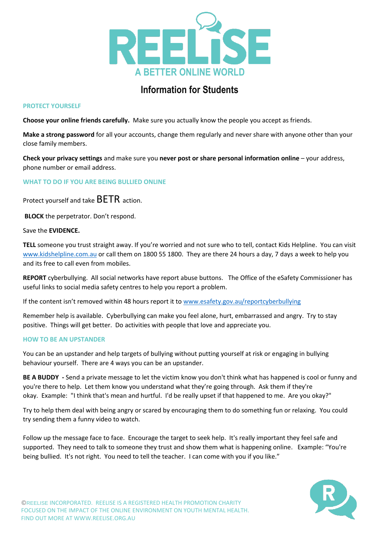

## **Information for Students**

## **PROTECT YOURSELF**

**Choose your online friends carefully.** Make sure you actually know the people you accept as friends.

**Make a strong password** for all your accounts, change them regularly and never share with anyone other than your close family members.

**Check your privacy settings** and make sure you **never post or share personal information online** – your address, phone number or email address.

**WHAT TO DO IF YOU ARE BEING BULLIED ONLINE**

Protect yourself and take BETR action.

**BLOCK** the perpetrator. Don't respond.

Save the **EVIDENCE.** 

**TELL** someone you trust straight away. If you're worried and not sure who to tell, contact Kids Helpline. You can visit [www.kidshelpline.com.au](http://www.kidshelpline.com.au/) or call them on 1800 55 1800. They are there 24 hours a day, 7 days a week to help you and its free to call even from mobiles.

**REPORT** cyberbullying. All social networks have report abuse buttons. The Office of the eSafety Commissioner has useful links to social media safety centres to help you report a problem.

If the content isn't removed within 48 hours report it to [www.esafety.gov.au/reportcyberbullying](http://www.esafety.gov.au/reportcyberbullying)

Remember help is available. Cyberbullying can make you feel alone, hurt, embarrassed and angry. Try to stay positive. Things will get better. Do activities with people that love and appreciate you.

## **HOW TO BE AN UPSTANDER**

You can be an upstander and help targets of bullying without putting yourself at risk or engaging in bullying behaviour yourself. There are 4 ways you can be an upstander.

**BE A BUDDY -** Send a private message to let the victim know you don't think what has happened is cool or funny and you're there to help. Let them know you understand what they're going through. Ask them if they're okay. Example: "I think that's mean and hurtful. I'd be really upset if that happened to me. Are you okay?"

Try to help them deal with being angry or scared by encouraging them to do something fun or relaxing. You could try sending them a funny video to watch.

Follow up the message face to face. Encourage the target to seek help. It's really important they feel safe and supported. They need to talk to someone they trust and show them what is happening online. Example: "You're being bullied. It's not right. You need to tell the teacher. I can come with you if you like."